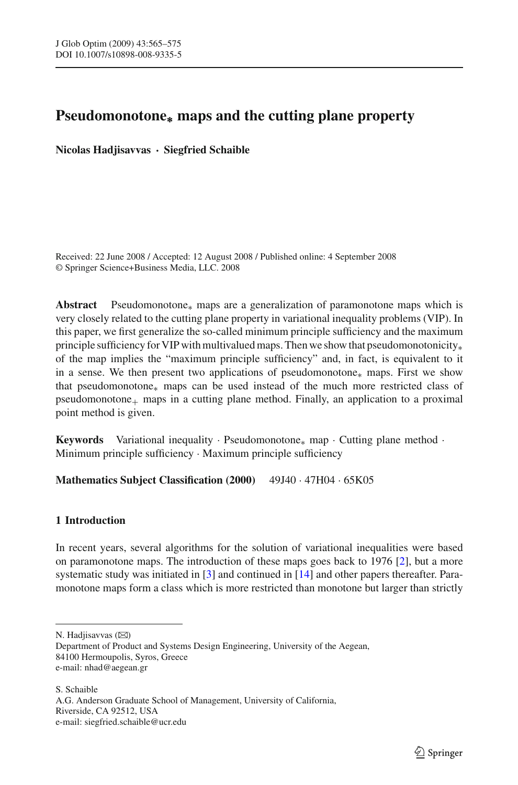# **Pseudomonotone<sup>∗</sup> maps and the cutting plane property**

**Nicolas Hadjisavvas · Siegfried Schaible**

Received: 22 June 2008 / Accepted: 12 August 2008 / Published online: 4 September 2008 © Springer Science+Business Media, LLC. 2008

**Abstract** Pseudomonotone∗ maps are a generalization of paramonotone maps which is very closely related to the cutting plane property in variational inequality problems (VIP). In this paper, we first generalize the so-called minimum principle sufficiency and the maximum principle sufficiency for VIP with multivalued maps. Then we show that pseudomonotonicity<sub>\*</sub> of the map implies the "maximum principle sufficiency" and, in fact, is equivalent to it in a sense. We then present two applications of pseudomonotone∗ maps. First we show that pseudomonotone∗ maps can be used instead of the much more restricted class of  $p$ seudomonotone<sub>+</sub> maps in a cutting plane method. Finally, an application to a proximal point method is given.

Keywords Variational inequality · Pseudomonotone<sub>∗</sub> map · Cutting plane method · Minimum principle sufficiency · Maximum principle sufficiency

**Mathematics Subject Classification (2000)** 49J40 · 47H04 · 65K05

# **1 Introduction**

In recent years, several algorithms for the solution of variational inequalities were based on paramonotone maps. The introduction of these maps goes back to 1976 [\[2\]](#page-10-0), but a more systematic study was initiated in [\[3\]](#page-10-1) and continued in [\[14\]](#page-10-2) and other papers thereafter. Paramonotone maps form a class which is more restricted than monotone but larger than strictly

N. Hadjisavvas (⊠)

S. Schaible

A.G. Anderson Graduate School of Management, University of California, Riverside, CA 92512, USA e-mail: siegfried.schaible@ucr.edu

Department of Product and Systems Design Engineering, University of the Aegean, 84100 Hermoupolis, Syros, Greece e-mail: nhad@aegean.gr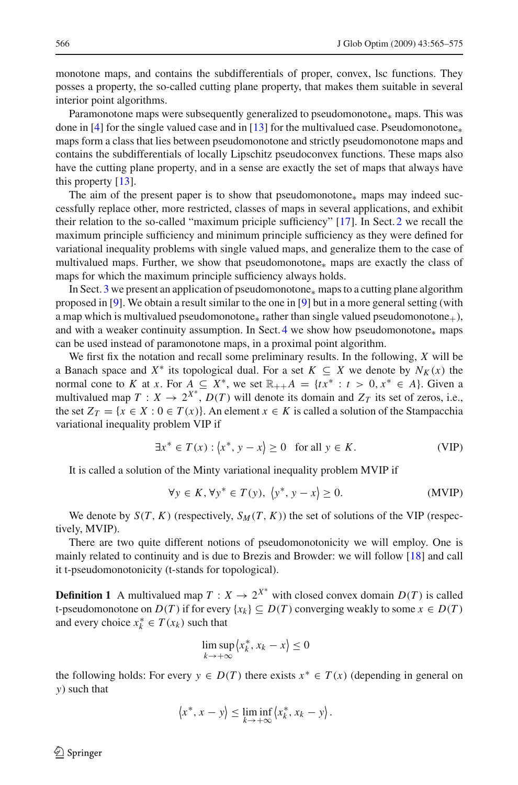monotone maps, and contains the subdifferentials of proper, convex, lsc functions. They posses a property, the so-called cutting plane property, that makes them suitable in several interior point algorithms.

Paramonotone maps were subsequently generalized to pseudomonotone<sub>∗</sub> maps. This was done in [\[4\]](#page-10-3) for the single valued case and in [\[13](#page-10-4)] for the multivalued case. Pseudomonotone<sup>\*</sup> maps form a class that lies between pseudomonotone and strictly pseudomonotone maps and contains the subdifferentials of locally Lipschitz pseudoconvex functions. These maps also have the cutting plane property, and in a sense are exactly the set of maps that always have this property [\[13](#page-10-4)].

The aim of the present paper is to show that pseudomonotone∗ maps may indeed successfully replace other, more restricted, classes of maps in several applications, and exhibit their relation to the so-called "maximum priciple sufficiency" [\[17\]](#page-10-5). In Sect. [2](#page-3-0) we recall the maximum principle sufficiency and minimum principle sufficiency as they were defined for variational inequality problems with single valued maps, and generalize them to the case of multivalued maps. Further, we show that pseudomonotone∗ maps are exactly the class of maps for which the maximum principle sufficiency always holds.

In Sect. [3](#page-5-0) we present an application of pseudomonotone∗ maps to a cutting plane algorithm proposed in [\[9\]](#page-10-6). We obtain a result similar to the one in [\[9\]](#page-10-6) but in a more general setting (with a map which is multivalued pseudomonotone<sub>∗</sub> rather than single valued pseudomonotone<sub>+</sub>), and with a weaker continuity assumption. In Sect. [4](#page-8-0) we show how pseudomonotone $*$  maps can be used instead of paramonotone maps, in a proximal point algorithm.

We first fix the notation and recall some preliminary results. In the following, *X* will be a Banach space and  $X^*$  its topological dual. For a set  $K \subseteq X$  we denote by  $N_K(x)$  the normal cone to *K* at *x*. For  $A \subseteq X^*$ , we set  $\mathbb{R}_{++}A = \{tx^* : t > 0, x^* \in A\}$ . Given a multivalued map  $T: X \to 2^{X^*}$ ,  $D(T)$  will denote its domain and  $Z_T$  its set of zeros, i.e., the set  $Z_T = \{x \in X : 0 \in T(x)\}\$ . An element  $x \in K$  is called a solution of the Stampacchia variational inequality problem VIP if

$$
\exists x^* \in T(x) : \langle x^*, y - x \rangle \ge 0 \quad \text{for all } y \in K. \tag{VIP}
$$

<span id="page-1-0"></span>It is called a solution of the Minty variational inequality problem MVIP if

$$
\forall y \in K, \forall y^* \in T(y), \ \langle y^*, y - x \rangle \ge 0. \tag{MVIP}
$$

We denote by  $S(T, K)$  (respectively,  $S_M(T, K)$ ) the set of solutions of the VIP (respectively, MVIP).

There are two quite different notions of pseudomonotonicity we will employ. One is mainly related to continuity and is due to Brezis and Browder: we will follow [\[18](#page-10-7)] and call it t-pseudomonotonicity (t-stands for topological).

**Definition 1** A multivalued map  $T: X \to 2^{X^*}$  with closed convex domain  $D(T)$  is called t-pseudomonotone on  $D(T)$  if for every  $\{x_k\} \subseteq D(T)$  converging weakly to some  $x \in D(T)$ and every choice  $x_k^* \in T(x_k)$  such that

$$
\limsup_{k \to +\infty} \langle x_k^*, x_k - x \rangle \le 0
$$

the following holds: For every  $y \in D(T)$  there exists  $x^* \in T(x)$  (depending in general on *y*) such that

$$
\langle x^*, x - y \rangle \leq \liminf_{k \to +\infty} \langle x_k^*, x_k - y \rangle.
$$

 $\mathcal{L}$  Springer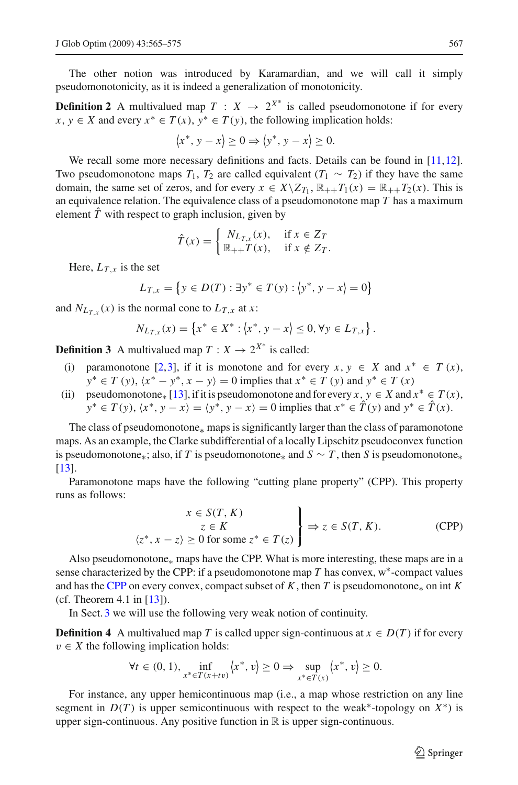The other notion was introduced by Karamardian, and we will call it simply pseudomonotonicity, as it is indeed a generalization of monotonicity.

**Definition 2** A multivalued map  $T : X \rightarrow 2^{X^*}$  is called pseudomonotone if for every *x*, *y* ∈ *X* and every  $x^*$  ∈ *T*(*x*),  $y^*$  ∈ *T*(*y*), the following implication holds:

$$
\langle x^*, y - x \rangle \ge 0 \Rightarrow \langle y^*, y - x \rangle \ge 0.
$$

We recall some more necessary definitions and facts. Details can be found in [\[11](#page-10-8)[,12\]](#page-10-9). Two pseudomonotone maps  $T_1$ ,  $T_2$  are called equivalent  $(T_1 \sim T_2)$  if they have the same domain, the same set of zeros, and for every  $x \in X \setminus Z_{T_1}$ ,  $\mathbb{R}_{++}T_1(x) = \mathbb{R}_{++}T_2(x)$ . This is an equivalence relation. The equivalence class of a pseudomonotone map *T* has a maximum element  $\hat{T}$  with respect to graph inclusion, given by

$$
\hat{T}(x) = \begin{cases} N_{L_{T,x}}(x), & \text{if } x \in Z_T \\ \mathbb{R}_{++} T(x), & \text{if } x \notin Z_T. \end{cases}
$$

Here,  $L_T$ <sub>x</sub> is the set

$$
L_{T,x} = \{ y \in D(T) : \exists y^* \in T(y) : \langle y^*, y - x \rangle = 0 \}
$$

and  $N_{L_T}$ ,  $(x)$  is the normal cone to  $L_{T,x}$  at *x*:

$$
N_{L_{T,x}}(x) = \{x^* \in X^* : \langle x^*, y - x \rangle \leq 0, \forall y \in L_{T,x}\}.
$$

**Definition 3** A multivalued map  $T: X \to 2^{X^*}$  is called:

- (i) paramonotone [\[2](#page-10-0)[,3\]](#page-10-1), if it is monotone and for every  $x, y \in X$  and  $x^* \in T(x)$ ,  $y^* \in T(y)$ ,  $\langle x^* - y^*, x - y \rangle = 0$  implies that  $x^* \in T(y)$  and  $y^* \in T(x)$
- (ii) pseudomonotone<sub>\*</sub> [\[13\]](#page-10-4), if it is pseudomonotone and for every *x*,  $y \in X$  and  $x^* \in T(x)$ ,  $y^* \in T(y)$ ,  $\langle x^*, y - x \rangle = \langle y^*, y - x \rangle = 0$  implies that  $x^* \in \hat{T}(y)$  and  $y^* \in \hat{T}(x)$ .

The class of pseudomonotone∗ maps is significantly larger than the class of paramonotone maps. As an example, the Clarke subdifferential of a locally Lipschitz pseudoconvex function is pseudomonotone<sub>\*</sub>; also, if *T* is pseudomonotone<sub>\*</sub> and  $S \sim T$ , then *S* is pseudomonotone<sub>\*</sub> [\[13\]](#page-10-4).

Paramonotone maps have the following "cutting plane property" (CPP). This property runs as follows:

$$
\begin{aligned}\nx \in S(T, K) \\
z \in K \\
\langle z^*, x - z \rangle \ge 0 \text{ for some } z^* \in T(z)\n\end{aligned}\n\Rightarrow z \in S(T, K). \tag{CPP}
$$

<span id="page-2-0"></span>Also pseudomonotone∗ maps have the CPP. What is more interesting, these maps are in a sense characterized by the CPP: if a pseudomonotone map  $T$  has convex,  $w^*$ -compact values and has the [CPP](#page-2-0) on every convex, compact subset of  $K$ , then  $T$  is pseudomonotone<sub>\*</sub> on int  $K$ (cf. Theorem 4.1 in [\[13\]](#page-10-4)).

In Sect. [3](#page-5-0) we will use the following very weak notion of continuity.

**Definition 4** A multivalued map *T* is called upper sign-continuous at  $x \in D(T)$  if for every  $v \in X$  the following implication holds:

$$
\forall t \in (0, 1), \inf_{x^* \in T(x+t\nu)} \langle x^*, v \rangle \ge 0 \Rightarrow \sup_{x^* \in T(x)} \langle x^*, v \rangle \ge 0.
$$

For instance, any upper hemicontinuous map (i.e., a map whose restriction on any line segment in  $D(T)$  is upper semicontinuous with respect to the weak<sup>\*</sup>-topology on  $X^*$ ) is upper sign-continuous. Any positive function in  $\mathbb R$  is upper sign-continuous.

 $\circled{2}$  Springer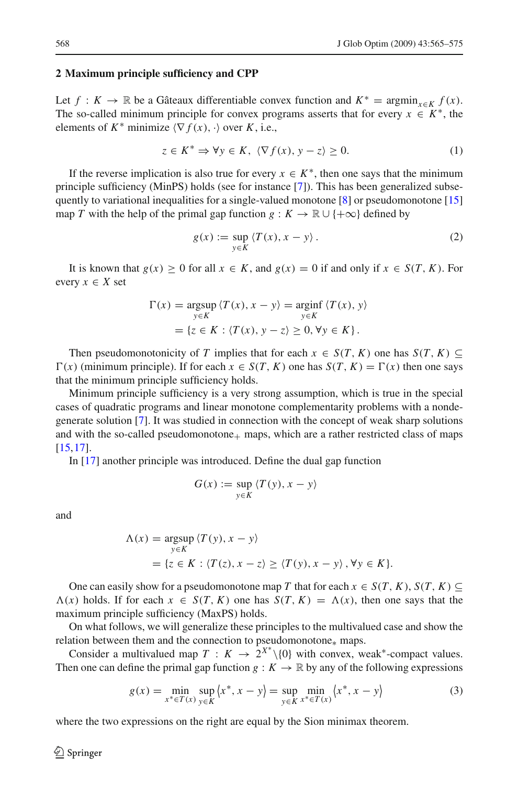#### <span id="page-3-0"></span>**2 Maximum principle sufficiency and CPP**

Let *f* : *K* → ℝ be a Gâteaux differentiable convex function and  $K^* = \operatorname{argmin}_{x \in K} f(x)$ . The so-called minimum principle for convex programs asserts that for every  $x \in K^*$ , the elements of  $K^*$  minimize  $\langle \nabla f(x), \cdot \rangle$  over  $K$ , i.e.,

$$
z \in K^* \Rightarrow \forall y \in K, \ \langle \nabla f(x), y - z \rangle \ge 0. \tag{1}
$$

If the reverse implication is also true for every  $x \in K^*$ , then one says that the minimum principle sufficiency (MinPS) holds (see for instance [\[7](#page-10-10)]). This has been generalized subse-quently to variational inequalities for a single-valued monotone [\[8](#page-10-11)] or pseudomonotone [\[15\]](#page-10-12) map *T* with the help of the primal gap function  $g: K \to \mathbb{R} \cup \{+\infty\}$  defined by

$$
g(x) := \sup_{y \in K} \langle T(x), x - y \rangle.
$$
 (2)

It is known that  $g(x) \ge 0$  for all  $x \in K$ , and  $g(x) = 0$  if and only if  $x \in S(T, K)$ . For every  $x \in X$  set

$$
\Gamma(x) = \underset{y \in K}{\text{argsup}} \langle T(x), x - y \rangle = \underset{y \in K}{\text{arginf}} \langle T(x), y \rangle
$$

$$
= \{ z \in K : \langle T(x), y - z \rangle \ge 0, \forall y \in K \}.
$$

Then pseudomonotonicity of *T* implies that for each  $x \in S(T, K)$  one has  $S(T, K) \subseteq$  $\Gamma(x)$  (minimum principle). If for each  $x \in S(T, K)$  one has  $S(T, K) = \Gamma(x)$  then one says that the minimum principle sufficiency holds.

Minimum principle sufficiency is a very strong assumption, which is true in the special cases of quadratic programs and linear monotone complementarity problems with a nondegenerate solution [\[7](#page-10-10)]. It was studied in connection with the concept of weak sharp solutions and with the so-called pseudomonotone $+$  maps, which are a rather restricted class of maps [\[15,](#page-10-12)[17](#page-10-5)].

In [\[17](#page-10-5)] another principle was introduced. Define the dual gap function

$$
G(x) := \sup_{y \in K} \langle T(y), x - y \rangle
$$

and

$$
\Lambda(x) = \underset{y \in K}{\operatorname{argsup}} \langle T(y), x - y \rangle
$$
  
=  $\{z \in K : \langle T(z), x - z \rangle \ge \langle T(y), x - y \rangle, \forall y \in K\}.$ 

One can easily show for a pseudomonotone map *T* that for each  $x \in S(T, K)$ ,  $S(T, K) \subseteq$  $\Lambda(x)$  holds. If for each  $x \in S(T, K)$  one has  $S(T, K) = \Lambda(x)$ , then one says that the maximum principle sufficiency (MaxPS) holds.

On what follows, we will generalize these principles to the multivalued case and show the relation between them and the connection to pseudomonotone∗ maps.

Consider a multivalued map  $T : K \to 2^{X^*} \setminus \{0\}$  with convex, weak<sup>\*</sup>-compact values. Then one can define the primal gap function  $g: K \to \mathbb{R}$  by any of the following expressions

$$
g(x) = \min_{x^* \in T(x)} \sup_{y \in K} \langle x^*, x - y \rangle = \sup_{y \in K} \min_{x^* \in T(x)} \langle x^*, x - y \rangle
$$
 (3)

where the two expressions on the right are equal by the Sion minimax theorem.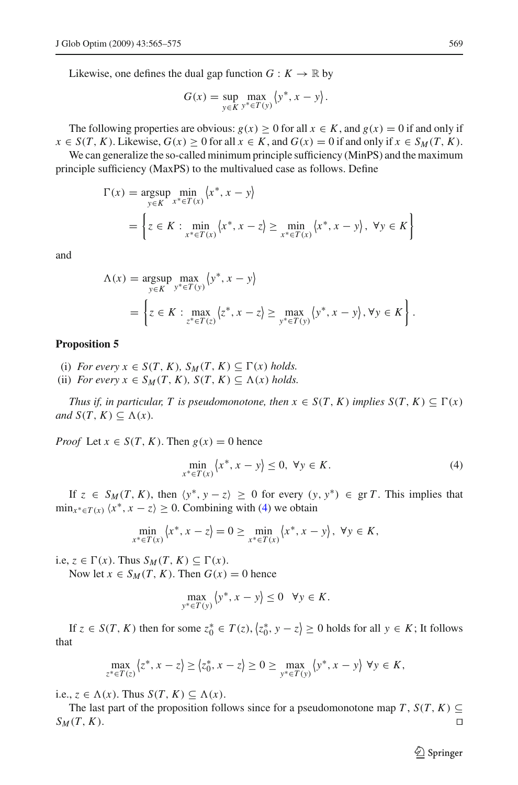Likewise, one defines the dual gap function  $G: K \to \mathbb{R}$  by

$$
G(x) = \sup_{y \in K} \max_{y^* \in T(y)} \langle y^*, x - y \rangle.
$$

The following properties are obvious:  $g(x) > 0$  for all  $x \in K$ , and  $g(x) = 0$  if and only if  $x \in S(T, K)$ . Likewise,  $G(x) \ge 0$  for all  $x \in K$ , and  $G(x) = 0$  if and only if  $x \in S_M(T, K)$ .

We can generalize the so-called minimum principle sufficiency (MinPS) and the maximum principle sufficiency (MaxPS) to the multivalued case as follows. Define

$$
\Gamma(x) = \underset{y \in K}{\arg \sup} \underset{x^* \in T(x)}{\min} \langle x^*, x - y \rangle
$$
  
= 
$$
\left\{ z \in K : \underset{x^* \in T(x)}{\min} \langle x^*, x - z \rangle \ge \underset{x^* \in T(x)}{\min} \langle x^*, x - y \rangle, \forall y \in K \right\}
$$

and

$$
\Lambda(x) = \underset{y \in K}{\arg \sup} \max_{y^* \in T(y)} \left\{ y^*, x - y \right\}
$$
  
= 
$$
\left\{ z \in K : \max_{z^* \in T(z)} \left\{ z^*, x - z \right\} \ge \max_{y^* \in T(y)} \left\{ y^*, x - y \right\}, \forall y \in K \right\}.
$$

#### <span id="page-4-1"></span>**Proposition 5**

- (i) *For every*  $x \in S(T, K)$ *,*  $S_M(T, K) \subseteq \Gamma(x)$  *holds.*
- (ii) *For every*  $x \in S_M(T, K)$ ,  $S(T, K) \subseteq \Lambda(x)$  *holds.*

*Thus if, in particular, T is pseudomonotone, then*  $x \in S(T, K)$  *implies*  $S(T, K) \subseteq \Gamma(x)$  $and S(T, K) ⊆ Λ(x)$ *.* 

<span id="page-4-0"></span>*Proof* Let  $x \in S(T, K)$ . Then  $g(x) = 0$  hence

$$
\min_{x^* \in T(x)} \langle x^*, x - y \rangle \le 0, \ \forall y \in K. \tag{4}
$$

If  $z \in S_M(T, K)$ , then  $\langle y^*, y - z \rangle \ge 0$  for every  $(y, y^*) \in \text{gr } T$ . This implies that  $\min_{x^* \in T(x)} \langle x^*, x - z \rangle \geq 0$ . Combining with [\(4\)](#page-4-0) we obtain

$$
\min_{x^* \in T(x)} \langle x^*, x - z \rangle = 0 \ge \min_{x^* \in T(x)} \langle x^*, x - y \rangle, \ \forall y \in K,
$$

i.e,  $z \in \Gamma(x)$ . Thus  $S_M(T, K) \subseteq \Gamma(x)$ .

Now let  $x \in S_M(T, K)$ . Then  $G(x) = 0$  hence

$$
\max_{y^* \in T(y)} \left\langle y^*, x - y \right\rangle \le 0 \quad \forall y \in K.
$$

If  $z \in S(T, K)$  then for some  $z_0^* \in T(z), \langle z_0^*, y - z \rangle \ge 0$  holds for all  $y \in K$ ; It follows that

$$
\max_{z^* \in T(z)} \langle z^*, x - z \rangle \ge \langle z_0^*, x - z \rangle \ge 0 \ge \max_{y^* \in T(y)} \langle y^*, x - y \rangle \ \forall y \in K,
$$

i.e.,  $z \in \Lambda(x)$ . Thus  $S(T, K) \subseteq \Lambda(x)$ .

The last part of the proposition follows since for a pseudomonotone map *T*,  $S(T, K) \subseteq$  $S_M(T, K)$ .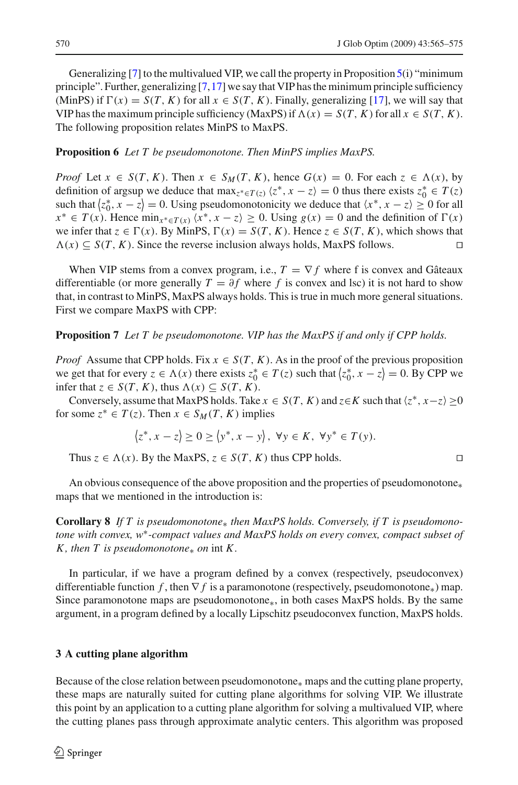Generalizing [\[7\]](#page-10-10) to the multivalued VIP, we call the property in Proposition [5\(](#page-4-1)i) "minimum principle". Further, generalizing  $[7,17]$  $[7,17]$  we say that VIP has the minimum principle sufficiency (MinPS) if  $\Gamma(x) = S(T, K)$  for all  $x \in S(T, K)$ . Finally, generalizing [\[17](#page-10-5)], we will say that VIP has the maximum principle sufficiency (MaxPS) if  $\Lambda(x) = S(T, K)$  for all  $x \in S(T, K)$ . The following proposition relates MinPS to MaxPS.

# **Proposition 6** *Let T be pseudomonotone. Then MinPS implies MaxPS.*

*Proof* Let  $x \in S(T, K)$ . Then  $x \in S_M(T, K)$ , hence  $G(x) = 0$ . For each  $z \in \Lambda(x)$ , by definition of argsup we deduce that  $\max_{z^* \in T(z)} \langle z^*, x - z \rangle = 0$  thus there exists  $z_0^* \in T(z)$ such that  $\langle z_0^*, x - z \rangle = 0$ . Using pseudomonotonicity we deduce that  $\langle x^*, x - z \rangle \ge 0$  for all *x*<sup>∗</sup> ∈ *T*(*x*). Hence min<sub>*x*<sup>∗</sup>∈*T*(*x*)</sub>  $\langle x^*$ ,  $x - z \rangle \ge 0$ . Using  $g(x) = 0$  and the definition of  $\Gamma(x)$ we infer that  $z \in \Gamma(x)$ . By MinPS,  $\Gamma(x) = S(T, K)$ . Hence  $z \in S(T, K)$ , which shows that  $\Lambda(x)$  ⊆ *S*(*T*, *K*). Since the reverse inclusion always holds, MaxPS follows.  $\Box$ 

When VIP stems from a convex program, i.e.,  $T = \nabla f$  where f is convex and Gâteaux differentiable (or more generally  $T = \partial f$  where f is convex and lsc) it is not hard to show that, in contrast to MinPS, MaxPS always holds. This is true in much more general situations. First we compare MaxPS with CPP:

## **Proposition 7** *Let T be pseudomonotone. VIP has the MaxPS if and only if CPP holds.*

*Proof* Assume that CPP holds. Fix  $x \in S(T, K)$ . As in the proof of the previous proposition we get that for every  $z \in \Lambda(x)$  there exists  $z_0^* \in T(z)$  such that  $\langle z_0^*, x - z \rangle = 0$ . By CPP we infer that  $z \in S(T, K)$ , thus  $\Lambda(x) \subseteq S(T, K)$ .

Conversely, assume that MaxPS holds. Take  $x \in S(T, K)$  and  $z \in K$  such that  $\langle z^*, x-z \rangle \ge 0$ for some  $z^* \in T(z)$ . Then  $x \in S_M(T, K)$  implies

$$
\langle z^*, x-z \rangle \ge 0 \ge \langle y^*, x-y \rangle, \ \forall y \in K, \ \forall y^* \in T(y).
$$

Thus  $z \in \Lambda(x)$ . By the MaxPS,  $z \in S(T, K)$  thus CPP holds.

An obvious consequence of the above proposition and the properties of pseudomonotone∗ maps that we mentioned in the introduction is:

**Corollary 8** *If T is pseudomonotone*∗ *then MaxPS holds. Conversely, if T is pseudomonotone with convex, w*∗*-compact values and MaxPS holds on every convex, compact subset of K*, then *T* is pseudomonotone<sub>∗</sub> on int *K*.

In particular, if we have a program defined by a convex (respectively, pseudoconvex) differentiable function *f*, then  $\nabla f$  is a paramonotone (respectively, pseudomonotone<sub>\*</sub>) map. Since paramonotone maps are pseudomonotone∗, in both cases MaxPS holds. By the same argument, in a program defined by a locally Lipschitz pseudoconvex function, MaxPS holds.

## <span id="page-5-0"></span>**3 A cutting plane algorithm**

Because of the close relation between pseudomonotone∗ maps and the cutting plane property, these maps are naturally suited for cutting plane algorithms for solving VIP. We illustrate this point by an application to a cutting plane algorithm for solving a multivalued VIP, where the cutting planes pass through approximate analytic centers. This algorithm was proposed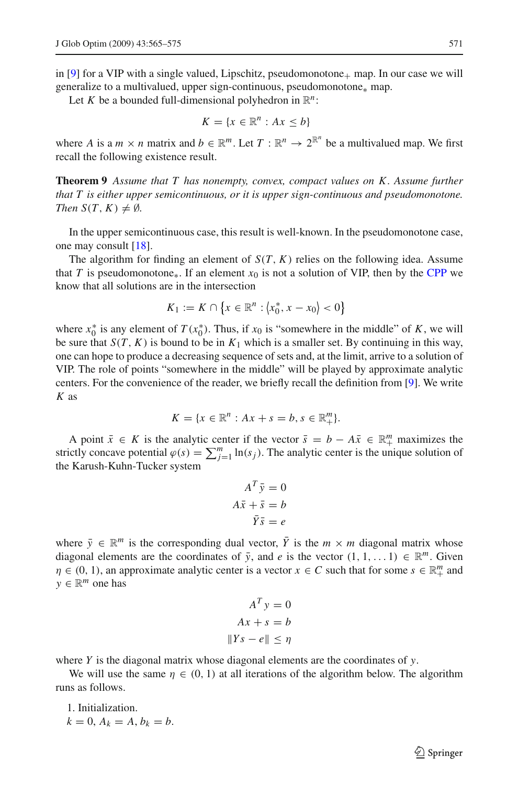in [\[9\]](#page-10-6) for a VIP with a single valued, Lipschitz, pseudomonotone<sub>+</sub> map. In our case we will generalize to a multivalued, upper sign-continuous, pseudomonotone<sub>∗</sub> map.

Let *K* be a bounded full-dimensional polyhedron in  $\mathbb{R}^n$ :

$$
K = \{x \in \mathbb{R}^n : Ax \leq b\}
$$

<span id="page-6-0"></span>where *A* is a  $m \times n$  matrix and  $b \in \mathbb{R}^m$ . Let  $T : \mathbb{R}^n \to 2^{\mathbb{R}^n}$  be a multivalued map. We first recall the following existence result.

**Theorem 9** *Assume that T has nonempty, convex, compact values on K . Assume further that T is either upper semicontinuous, or it is upper sign-continuous and pseudomonotone. Then*  $S(T, K) \neq \emptyset$ *.* 

In the upper semicontinuous case, this result is well-known. In the pseudomonotone case, one may consult [\[18](#page-10-7)].

The algorithm for finding an element of  $S(T, K)$  relies on the following idea. Assume that *T* is pseudomonotone<sub>\*</sub>. If an element  $x_0$  is not a solution of VIP, then by the [CPP](#page-2-0) we know that all solutions are in the intersection

$$
K_1 := K \cap \{x \in \mathbb{R}^n : \langle x_0^*, x - x_0 \rangle < 0\}
$$

where  $x_0^*$  is any element of  $T(x_0^*)$ . Thus, if  $x_0$  is "somewhere in the middle" of *K*, we will be sure that  $S(T, K)$  is bound to be in  $K_1$  which is a smaller set. By continuing in this way, one can hope to produce a decreasing sequence of sets and, at the limit, arrive to a solution of VIP. The role of points "somewhere in the middle" will be played by approximate analytic centers. For the convenience of the reader, we briefly recall the definition from [\[9](#page-10-6)]. We write *K* as

$$
K = \{x \in \mathbb{R}^n : Ax + s = b, s \in \mathbb{R}_+^m\}.
$$

A point  $\bar{x} \in K$  is the analytic center if the vector  $\bar{s} = b - A\bar{x} \in \mathbb{R}^m_+$  maximizes the strictly concave potential  $\varphi(s) = \sum_{j=1}^{m} \ln(s_j)$ . The analytic center is the unique solution of the Karush-Kuhn-Tucker system

$$
A^T \bar{y} = 0
$$

$$
A\bar{x} + \bar{s} = b
$$

$$
\bar{Y}\bar{s} = e
$$

where  $\bar{y} \in \mathbb{R}^m$  is the corresponding dual vector,  $\bar{Y}$  is the  $m \times m$  diagonal matrix whose diagonal elements are the coordinates of  $\bar{y}$ , and *e* is the vector  $(1, 1, \ldots 1) \in \mathbb{R}^m$ . Given  $\eta \in (0, 1)$ , an approximate analytic center is a vector  $x \in C$  such that for some  $s \in \mathbb{R}^m_+$  and  $y \in \mathbb{R}^m$  one has

$$
AT y = 0
$$
  

$$
Ax + s = b
$$
  

$$
||Ys - e|| \le \eta
$$

where *Y* is the diagonal matrix whose diagonal elements are the coordinates of *y*.

We will use the same  $\eta \in (0, 1)$  at all iterations of the algorithm below. The algorithm runs as follows.

1. Initialization.  $k = 0, A_k = A, b_k = b.$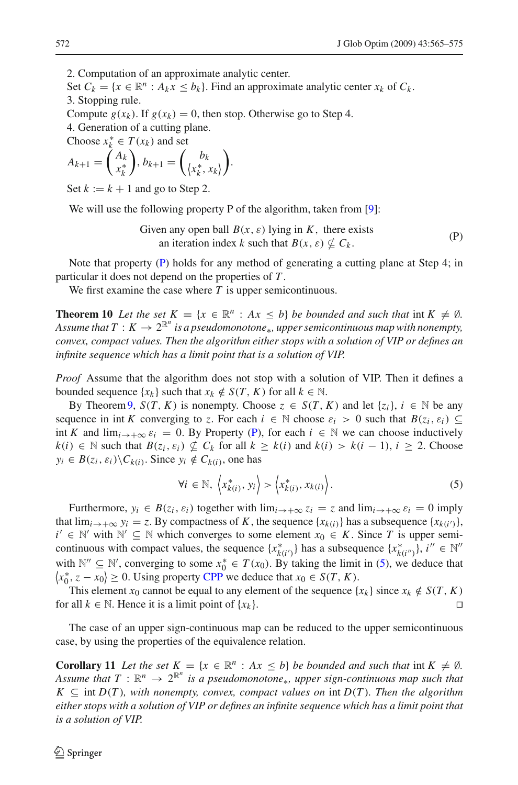2. Computation of an approximate analytic center.

Set  $C_k = \{x \in \mathbb{R}^n : A_k x \leq b_k\}$ . Find an approximate analytic center  $x_k$  of  $C_k$ . 3. Stopping rule.

Compute  $g(x_k)$ . If  $g(x_k) = 0$ , then stop. Otherwise go to Step 4.

4. Generation of a cutting plane.

Choose  $x_k^* \in T(x_k)$  and set

$$
A_{k+1} = \begin{pmatrix} A_k \\ x_k^* \end{pmatrix}, b_{k+1} = \begin{pmatrix} b_k \\ \langle x_k^*, x_k \rangle \end{pmatrix}.
$$

Set  $k := k + 1$  and go to Step 2.

We will use the following property P of the algorithm, taken from [\[9](#page-10-6)]:

Given any open ball  $B(x, \varepsilon)$  lying in K, there exists an iteration index *k* such that  $B(x, \varepsilon) \not\subset C_k$ . (P)

<span id="page-7-0"></span>Note that property [\(P\)](#page-7-0) holds for any method of generating a cutting plane at Step 4; in particular it does not depend on the properties of *T* .

We first examine the case where *T* is upper semicontinuous.

<span id="page-7-2"></span>**Theorem 10** *Let the set*  $K = \{x \in \mathbb{R}^n : Ax \leq b\}$  *be bounded and such that* int  $K \neq \emptyset$ *.* Assume that  $T: K \to 2^{\mathbb{R}^n}$  is a pseudomonotone<sub>∗</sub>, upper semicontinuous map with nonempty, *convex, compact values. Then the algorithm either stops with a solution of VIP or defines an infinite sequence which has a limit point that is a solution of VIP.*

*Proof* Assume that the algorithm does not stop with a solution of VIP. Then it defines a bounded sequence  $\{x_k\}$  such that  $x_k \notin S(T, K)$  for all  $k \in \mathbb{N}$ .

By Theorem [9,](#page-6-0)  $S(T, K)$  is nonempty. Choose  $z \in S(T, K)$  and let  $\{z_i\}, i \in \mathbb{N}$  be any sequence in int *K* converging to *z*. For each  $i \in \mathbb{N}$  choose  $\varepsilon_i > 0$  such that  $B(z_i, \varepsilon_i) \subseteq$ int *K* and  $\lim_{i \to +\infty} \varepsilon_i = 0$ . By Property [\(P\)](#page-7-0), for each  $i \in \mathbb{N}$  we can choose inductively *k*(*i*) ∈ N such that *B*(*z<sub>i</sub>*,  $\varepsilon_i$ )  $\nsubseteq$  *C<sub>k</sub>* for all  $k \geq k(i)$  and  $k(i) > k(i-1)$ ,  $i \geq 2$ . Choose  $y_i \in B(z_i, \varepsilon_i) \backslash C_{k(i)}$ . Since  $y_i \notin C_{k(i)}$ , one has

$$
\forall i \in \mathbb{N}, \ \left\langle x_{k(i)}^*, y_i \right\rangle > \left\langle x_{k(i)}^*, x_{k(i)} \right\rangle. \tag{5}
$$

<span id="page-7-1"></span>Furthermore,  $y_i \in B(z_i, \varepsilon_i)$  together with  $\lim_{i \to +\infty} z_i = z$  and  $\lim_{i \to +\infty} \varepsilon_i = 0$  imply that  $\lim_{i \to +\infty} y_i = z$ . By compactness of *K*, the sequence  $\{x_{k(i)}\}$  has a subsequence  $\{x_{k(i')}\}$ , *i* ∈  $\mathbb{N}'$  with  $\mathbb{N}' \subseteq \mathbb{N}$  which converges to some element  $x_0 \in K$ . Since *T* is upper semicontinuous with compact values, the sequence  $\{x_{k(i')}^*\}$  has a subsequence  $\{x_{k(i'')}^*\}$ ,  $i'' \in \mathbb{N}$ <sup>*n*</sup> with  $\mathbb{N}'' \subseteq \mathbb{N}'$ , converging to some  $x_0^* \in T(x_0)$ . By taking the limit in [\(5\)](#page-7-1), we deduce that  $\langle x_0^*, z - x_0 \rangle \ge 0$ . Using property [CPP](#page-2-0) we deduce that  $x_0 \in S(T, K)$ .

This element  $x_0$  cannot be equal to any element of the sequence  $\{x_k\}$  since  $x_k \notin S(T, K)$ for all  $k \in \mathbb{N}$ . Hence it is a limit point of  $\{x_k\}$ .

The case of an upper sign-continuous map can be reduced to the upper semicontinuous case, by using the properties of the equivalence relation.

**Corollary 11** Let the set  $K = \{x \in \mathbb{R}^n : Ax \leq b\}$  be bounded and such that int  $K \neq \emptyset$ . *Assume that*  $T : \mathbb{R}^n \to 2^{\mathbb{R}^n}$  *is a pseudomonotone*∗*, upper sign-continuous map such that*  $K \subseteq \text{int } D(T)$ , with nonempty, convex, compact values on  $\text{int } D(T)$ . Then the algorithm *either stops with a solution of VIP or defines an infinite sequence which has a limit point that is a solution of VIP.*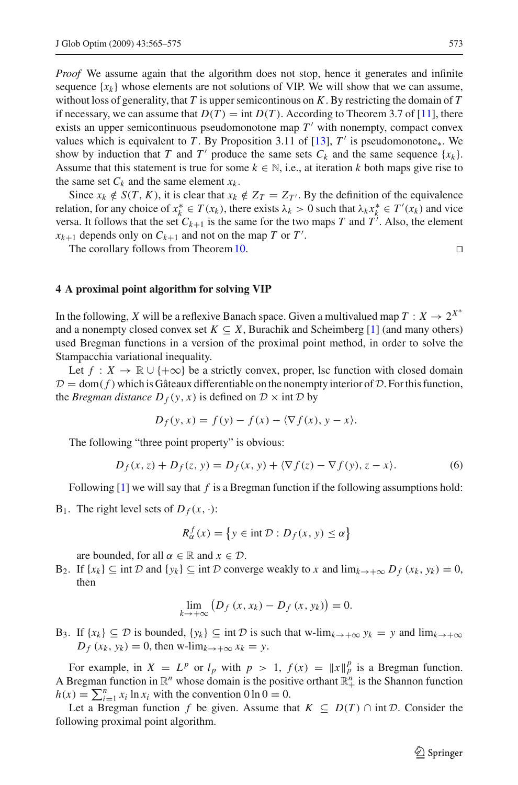*Proof* We assume again that the algorithm does not stop, hence it generates and infinite sequence  ${x_k}$  whose elements are not solutions of VIP. We will show that we can assume, without loss of generality, that *T* is upper semicontinous on *K*. By restricting the domain of *T* if necessary, we can assume that  $D(T) = \text{int } D(T)$ . According to Theorem 3.7 of [\[11\]](#page-10-8), there exists an upper semicontinuous pseudomonotone map  $T'$  with nonempty, compact convex values which is equivalent to *T*. By Proposition 3.11 of [\[13\]](#page-10-4),  $T'$  is pseudomonotone<sub>\*</sub>. We show by induction that *T* and *T'* produce the same sets  $C_k$  and the same sequence  $\{x_k\}$ . Assume that this statement is true for some  $k \in \mathbb{N}$ , i.e., at iteration k both maps give rise to the same set  $C_k$  and the same element  $x_k$ .

Since  $x_k \notin S(T, K)$ , it is clear that  $x_k \notin Z_T = Z_{T'}$ . By the definition of the equivalence relation, for any choice of  $x_k^* \in T(x_k)$ , there exists  $\lambda_k > 0$  such that  $\lambda_k x_k^* \in T'(x_k)$  and vice versa. It follows that the set  $C_{k+1}$  is the same for the two maps *T* and *T'*. Also, the element  $x_{k+1}$  depends only on  $C_{k+1}$  and not on the map *T* or *T'*.

The corollary follows from Theorem [10.](#page-7-2)

#### <span id="page-8-0"></span>**4 A proximal point algorithm for solving VIP**

In the following, *X* will be a reflexive Banach space. Given a multivalued map  $T : X \to 2^{X^*}$ and a nonempty closed convex set  $K \subseteq X$ , Burachik and Scheimberg [\[1](#page-10-13)] (and many others) used Bregman functions in a version of the proximal point method, in order to solve the Stampacchia variational inequality.

Let  $f: X \to \mathbb{R} \cup \{+\infty\}$  be a strictly convex, proper, lsc function with closed domain  $D =$  dom( $f$ ) which is Gâteaux differentiable on the nonempty interior of  $D$ . For this function, the *Bregman distance*  $D_f(y, x)$  is defined on  $D \times \text{int } D$  by

$$
D_f(y, x) = f(y) - f(x) - \langle \nabla f(x), y - x \rangle.
$$

<span id="page-8-1"></span>The following "three point property" is obvious:

$$
D_f(x, z) + D_f(z, y) = D_f(x, y) + \langle \nabla f(z) - \nabla f(y), z - x \rangle.
$$
 (6)

Following [\[1\]](#page-10-13) we will say that *f* is a Bregman function if the following assumptions hold:

B<sub>1</sub>. The right level sets of  $D_f(x, \cdot)$ :

$$
R_{\alpha}^{f}(x) = \{ y \in \text{int } \mathcal{D} : D_{f}(x, y) \le \alpha \}
$$

are bounded, for all  $\alpha \in \mathbb{R}$  and  $x \in \mathcal{D}$ .

 $B_2$ . If  $\{x_k\} \subseteq \text{int } \mathcal{D}$  and  $\{y_k\} \subseteq \text{int } \mathcal{D}$  converge weakly to *x* and  $\lim_{k \to +\infty} D_f(x_k, y_k) = 0$ , then

$$
\lim_{k \to +\infty} \left( D_f \left( x, x_k \right) - D_f \left( x, y_k \right) \right) = 0.
$$

B<sub>3</sub>. If { $x_k$ } ⊆ *D* is bounded, { $y_k$ } ⊆ int *D* is such that w-lim<sub> $k\rightarrow+\infty$ </sub>  $y_k = y$  and lim $_{k\rightarrow+\infty}$  $D_f(x_k, y_k) = 0$ , then w-lim<sub> $k \to +\infty$ </sub>  $x_k = y$ .

For example, in  $X = L^p$  or  $l_p$  with  $p > 1$ ,  $f(x) = ||x||_p^p$  is a Bregman function. A Bregman function in  $\mathbb{R}^n$  whose domain is the positive orthant  $\mathbb{R}^n_+$  is the Shannon function  $h(x) = \sum_{i=1}^{n} x_i \ln x_i$  with the convention  $0 \ln 0 = 0$ .

Let a Bregman function *f* be given. Assume that  $K \subseteq D(T) \cap \text{int } \mathcal{D}$ . Consider the following proximal point algorithm.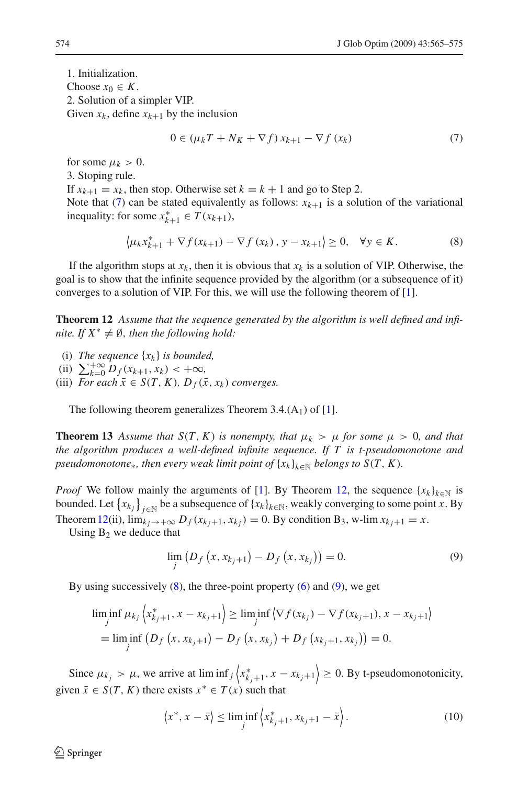1. Initialization. Choose  $x_0 \in K$ . 2. Solution of a simpler VIP. Given  $x_k$ , define  $x_{k+1}$  by the inclusion

$$
0 \in (\mu_k T + N_K + \nabla f) x_{k+1} - \nabla f (x_k)
$$
\n<sup>(7)</sup>

<span id="page-9-0"></span>for some  $\mu_k > 0$ . 3. Stoping rule. If  $x_{k+1} = x_k$ , then stop. Otherwise set  $k = k + 1$  and go to Step 2. Note that [\(7\)](#page-9-0) can be stated equivalently as follows:  $x_{k+1}$  is a solution of the variational inequality: for some  $x_{k+1}^* \in T(x_{k+1}),$ 

$$
\left\langle \mu_k x_{k+1}^* + \nabla f(x_{k+1}) - \nabla f(x_k), y - x_{k+1} \right\rangle \ge 0, \quad \forall y \in K.
$$
 (8)

<span id="page-9-2"></span>If the algorithm stops at  $x_k$ , then it is obvious that  $x_k$  is a solution of VIP. Otherwise, the goal is to show that the infinite sequence provided by the algorithm (or a subsequence of it) converges to a solution of VIP. For this, we will use the following theorem of [\[1](#page-10-13)].

<span id="page-9-1"></span>**Theorem 12** *Assume that the sequence generated by the algorithm is well defined and infinite. If*  $X^* \neq \emptyset$ *, then the following hold:* 

- (i) *The sequence*  $\{x_k\}$  *is bounded,*
- (ii)  $\sum_{k=0}^{+\infty} D_f(x_{k+1}, x_k) < +\infty$ ,
- (iii) *For each*  $\bar{x} \in S(T, K)$ *,*  $D_f(\bar{x}, x_k)$  *converges.*

The following theorem generalizes Theorem 3.4. $(A_1)$  of [\[1](#page-10-13)].

**Theorem 13** Assume that  $S(T, K)$  is nonempty, that  $\mu_k > \mu$  for some  $\mu > 0$ , and that *the algorithm produces a well-defined infinite sequence. If T is t-pseudomonotone and pseudomonotone*∗*, then every weak limit point of*  $\{x_k\}_{k\in\mathbb{N}}$  *belongs to*  $S(T, K)$ *.* 

*Proof* We follow mainly the arguments of [\[1\]](#page-10-13). By Theorem [12,](#page-9-1) the sequence  $\{x_k\}_{k\in\mathbb{N}}$  is bounded. Let  $\{x_{k_j}\}_{j\in\mathbb{N}}$  be a subsequence of  $\{x_k\}_{k\in\mathbb{N}}$ , weakly converging to some point *x*. By Theorem [12\(](#page-9-1)ii),  $\lim_{k_i \to +\infty} D_f(x_{k_i+1}, x_{k_i}) = 0$ . By condition B<sub>3</sub>, w-lim  $x_{k_i+1} = x$ .

<span id="page-9-3"></span>Using  $B_2$  we deduce that

$$
\lim_{j} (D_f(x, x_{k_j+1}) - D_f(x, x_{k_j})) = 0.
$$
\n(9)

By using successively  $(8)$ , the three-point property  $(6)$  and  $(9)$ , we get

$$
\liminf_{j} \mu_{k_j} \left\langle x_{k_j+1}^*, x - x_{k_j+1} \right\rangle \ge \liminf_{j} \left\langle \nabla f(x_{k_j}) - \nabla f(x_{k_j+1}), x - x_{k_j+1} \right\rangle
$$
\n
$$
= \liminf_{j} \left( D_f \left( x, x_{k_j+1} \right) - D_f \left( x, x_{k_j} \right) + D_f \left( x_{k_j+1}, x_{k_j} \right) \right) = 0.
$$

Since  $\mu_{k_j} > \mu$ , we arrive at lim inf<sub>j</sub>  $\left\langle x_{k_{j+1}}^*, x - x_{k_j+1} \right\rangle \geq 0$ . By t-pseudomonotonicity, given  $\bar{x} \in S(T, K)$  there exists  $x^* \in T(x)$  such that

$$
\langle x^*, x - \bar{x} \rangle \le \liminf_j \langle x^*_{k_j+1}, x_{k_j+1} - \bar{x} \rangle. \tag{10}
$$

<span id="page-9-4"></span> $\mathcal{L}$  Springer